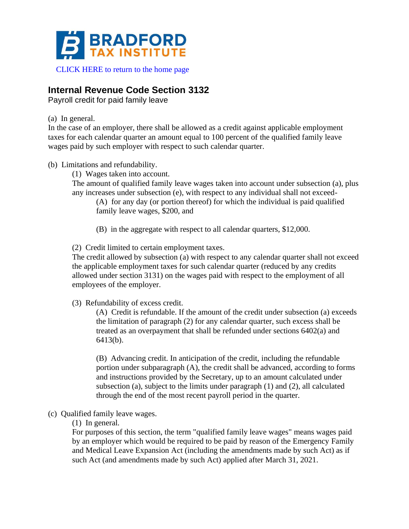

# **Internal Revenue Code Section 3132**

Payroll credit for paid family leave

(a) In general.

In the case of an employer, there shall be allowed as a credit against applicable employment taxes for each calendar quarter an amount equal to 100 percent of the qualified family leave wages paid by such employer with respect to such calendar quarter.

- (b) Limitations and refundability.
	- (1) Wages taken into account.

The amount of qualified family leave wages taken into account under subsection (a), plus any increases under subsection (e), with respect to any individual shall not exceed-

(A) for any day (or portion thereof) for which the individual is paid qualified family leave wages, \$200, and

(B) in the aggregate with respect to all calendar quarters, \$12,000.

(2) Credit limited to certain employment taxes.

The credit allowed by subsection (a) with respect to any calendar quarter shall not exceed the applicable employment taxes for such calendar quarter (reduced by any credits allowed under section 3131) on the wages paid with respect to the employment of all employees of the employer.

(3) Refundability of excess credit.

(A) Credit is refundable. If the amount of the credit under subsection (a) exceeds the limitation of paragraph (2) for any calendar quarter, such excess shall be treated as an overpayment that shall be refunded under sections 6402(a) and 6413(b).

(B) Advancing credit. In anticipation of the credit, including the refundable portion under subparagraph (A), the credit shall be advanced, according to forms and instructions provided by the Secretary, up to an amount calculated under subsection (a), subject to the limits under paragraph (1) and (2), all calculated through the end of the most recent payroll period in the quarter.

- (c) Qualified family leave wages.
	- (1) In general.

For purposes of this section, the term "qualified family leave wages" means wages paid by an employer which would be required to be paid by reason of the Emergency Family and Medical Leave Expansion Act (including the amendments made by such Act) as if such Act (and amendments made by such Act) applied after March 31, 2021.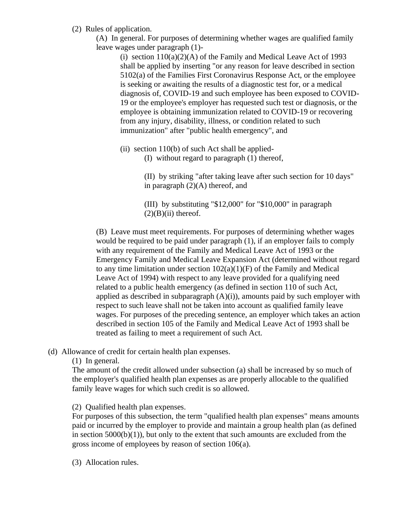- (2) Rules of application.
	- (A) In general. For purposes of determining whether wages are qualified family leave wages under paragraph (1)-

(i) section  $110(a)(2)(A)$  of the Family and Medical Leave Act of 1993 shall be applied by inserting "or any reason for leave described in section 5102(a) of the Families First Coronavirus Response Act, or the employee is seeking or awaiting the results of a diagnostic test for, or a medical diagnosis of, COVID-19 and such employee has been exposed to COVID-19 or the employee's employer has requested such test or diagnosis, or the employee is obtaining immunization related to COVID-19 or recovering from any injury, disability, illness, or condition related to such immunization" after "public health emergency", and

- (ii) section 110(b) of such Act shall be applied-
	- (I) without regard to paragraph (1) thereof,

(II) by striking "after taking leave after such section for 10 days" in paragraph (2)(A) thereof, and

(III) by substituting "\$12,000" for "\$10,000" in paragraph  $(2)(B)(ii)$  thereof.

(B) Leave must meet requirements. For purposes of determining whether wages would be required to be paid under paragraph (1), if an employer fails to comply with any requirement of the Family and Medical Leave Act of 1993 or the Emergency Family and Medical Leave Expansion Act (determined without regard to any time limitation under section  $102(a)(1)(F)$  of the Family and Medical Leave Act of 1994) with respect to any leave provided for a qualifying need related to a public health emergency (as defined in section 110 of such Act, applied as described in subparagraph  $(A)(i)$ , amounts paid by such employer with respect to such leave shall not be taken into account as qualified family leave wages. For purposes of the preceding sentence, an employer which takes an action described in section 105 of the Family and Medical Leave Act of 1993 shall be treated as failing to meet a requirement of such Act.

(d) Allowance of credit for certain health plan expenses.

(1) In general.

The amount of the credit allowed under subsection (a) shall be increased by so much of the employer's qualified health plan expenses as are properly allocable to the qualified family leave wages for which such credit is so allowed.

(2) Qualified health plan expenses.

For purposes of this subsection, the term "qualified health plan expenses" means amounts paid or incurred by the employer to provide and maintain a group health plan (as defined in section  $5000(b)(1)$ , but only to the extent that such amounts are excluded from the gross income of employees by reason of section 106(a).

(3) Allocation rules.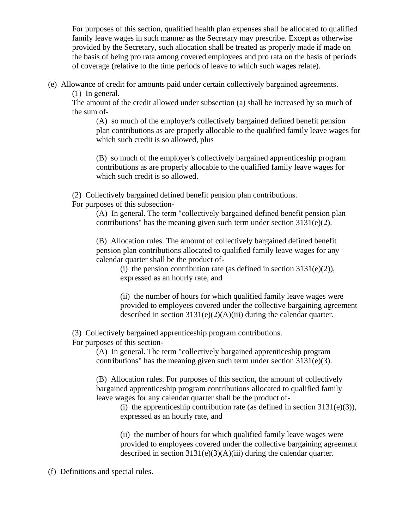For purposes of this section, qualified health plan expenses shall be allocated to qualified family leave wages in such manner as the Secretary may prescribe. Except as otherwise provided by the Secretary, such allocation shall be treated as properly made if made on the basis of being pro rata among covered employees and pro rata on the basis of periods of coverage (relative to the time periods of leave to which such wages relate).

(e) Allowance of credit for amounts paid under certain collectively bargained agreements.

(1) In general.

The amount of the credit allowed under subsection (a) shall be increased by so much of the sum of-

(A) so much of the employer's collectively bargained defined benefit pension plan contributions as are properly allocable to the qualified family leave wages for which such credit is so allowed, plus

(B) so much of the employer's collectively bargained apprenticeship program contributions as are properly allocable to the qualified family leave wages for which such credit is so allowed.

(2) Collectively bargained defined benefit pension plan contributions.

For purposes of this subsection-

(A) In general. The term "collectively bargained defined benefit pension plan contributions" has the meaning given such term under section  $3131(e)(2)$ .

(B) Allocation rules. The amount of collectively bargained defined benefit pension plan contributions allocated to qualified family leave wages for any calendar quarter shall be the product of-

(i) the pension contribution rate (as defined in section  $3131(e)(2)$ ), expressed as an hourly rate, and

(ii) the number of hours for which qualified family leave wages were provided to employees covered under the collective bargaining agreement described in section 3131(e)(2)(A)(iii) during the calendar quarter.

(3) Collectively bargained apprenticeship program contributions.

For purposes of this section-

(A) In general. The term "collectively bargained apprenticeship program contributions" has the meaning given such term under section 3131(e)(3).

(B) Allocation rules. For purposes of this section, the amount of collectively bargained apprenticeship program contributions allocated to qualified family leave wages for any calendar quarter shall be the product of-

(i) the apprenticeship contribution rate (as defined in section  $3131(e)(3)$ ), expressed as an hourly rate, and

(ii) the number of hours for which qualified family leave wages were provided to employees covered under the collective bargaining agreement described in section 3131(e)(3)(A)(iii) during the calendar quarter.

(f) Definitions and special rules.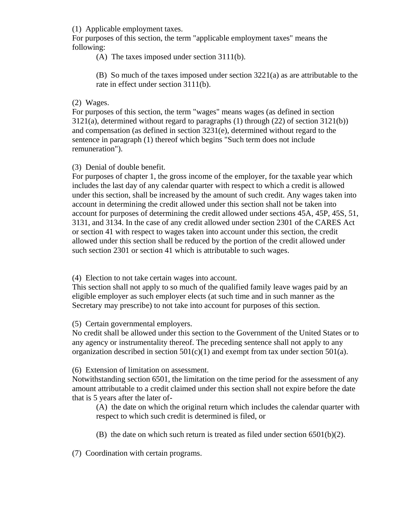(1) Applicable employment taxes.

For purposes of this section, the term "applicable employment taxes" means the following:

(A) The taxes imposed under section 3111(b).

(B) So much of the taxes imposed under section 3221(a) as are attributable to the rate in effect under section 3111(b).

### (2) Wages.

For purposes of this section, the term "wages" means wages (as defined in section 3121(a), determined without regard to paragraphs (1) through (22) of section 3121(b)) and compensation (as defined in section 3231(e), determined without regard to the sentence in paragraph (1) thereof which begins "Such term does not include remuneration").

(3) Denial of double benefit.

For purposes of chapter 1, the gross income of the employer, for the taxable year which includes the last day of any calendar quarter with respect to which a credit is allowed under this section, shall be increased by the amount of such credit. Any wages taken into account in determining the credit allowed under this section shall not be taken into account for purposes of determining the credit allowed under sections 45A, 45P, 45S, 51, 3131, and 3134. In the case of any credit allowed under section 2301 of the CARES Act or section 41 with respect to wages taken into account under this section, the credit allowed under this section shall be reduced by the portion of the credit allowed under such section 2301 or section 41 which is attributable to such wages.

(4) Election to not take certain wages into account.

This section shall not apply to so much of the qualified family leave wages paid by an eligible employer as such employer elects (at such time and in such manner as the Secretary may prescribe) to not take into account for purposes of this section.

(5) Certain governmental employers.

No credit shall be allowed under this section to the Government of the United States or to any agency or instrumentality thereof. The preceding sentence shall not apply to any organization described in section  $501(c)(1)$  and exempt from tax under section  $501(a)$ .

(6) Extension of limitation on assessment.

Notwithstanding section 6501, the limitation on the time period for the assessment of any amount attributable to a credit claimed under this section shall not expire before the date that is 5 years after the later of-

(A) the date on which the original return which includes the calendar quarter with respect to which such credit is determined is filed, or

(B) the date on which such return is treated as filed under section  $6501(b)(2)$ .

(7) Coordination with certain programs.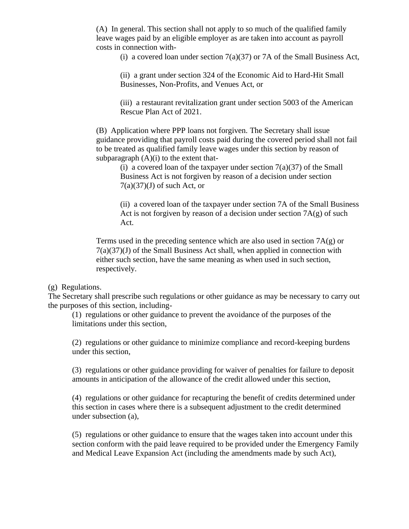(A) In general. This section shall not apply to so much of the qualified family leave wages paid by an eligible employer as are taken into account as payroll costs in connection with-

(i) a covered loan under section  $7(a)(37)$  or 7A of the Small Business Act,

(ii) a grant under section 324 of the Economic Aid to Hard-Hit Small Businesses, Non-Profits, and Venues Act, or

(iii) a restaurant revitalization grant under section 5003 of the American Rescue Plan Act of 2021.

(B) Application where PPP loans not forgiven. The Secretary shall issue guidance providing that payroll costs paid during the covered period shall not fail to be treated as qualified family leave wages under this section by reason of subparagraph  $(A)(i)$  to the extent that-

(i) a covered loan of the taxpayer under section  $7(a)(37)$  of the Small Business Act is not forgiven by reason of a decision under section  $7(a)(37)(J)$  of such Act, or

(ii) a covered loan of the taxpayer under section 7A of the Small Business Act is not forgiven by reason of a decision under section  $7A(g)$  of such Act.

Terms used in the preceding sentence which are also used in section  $7A(g)$  or  $7(a)(37)(J)$  of the Small Business Act shall, when applied in connection with either such section, have the same meaning as when used in such section, respectively.

#### (g) Regulations.

The Secretary shall prescribe such regulations or other guidance as may be necessary to carry out the purposes of this section, including-

(1) regulations or other guidance to prevent the avoidance of the purposes of the limitations under this section,

(2) regulations or other guidance to minimize compliance and record-keeping burdens under this section,

(3) regulations or other guidance providing for waiver of penalties for failure to deposit amounts in anticipation of the allowance of the credit allowed under this section,

(4) regulations or other guidance for recapturing the benefit of credits determined under this section in cases where there is a subsequent adjustment to the credit determined under subsection (a),

(5) regulations or other guidance to ensure that the wages taken into account under this section conform with the paid leave required to be provided under the Emergency Family and Medical Leave Expansion Act (including the amendments made by such Act),